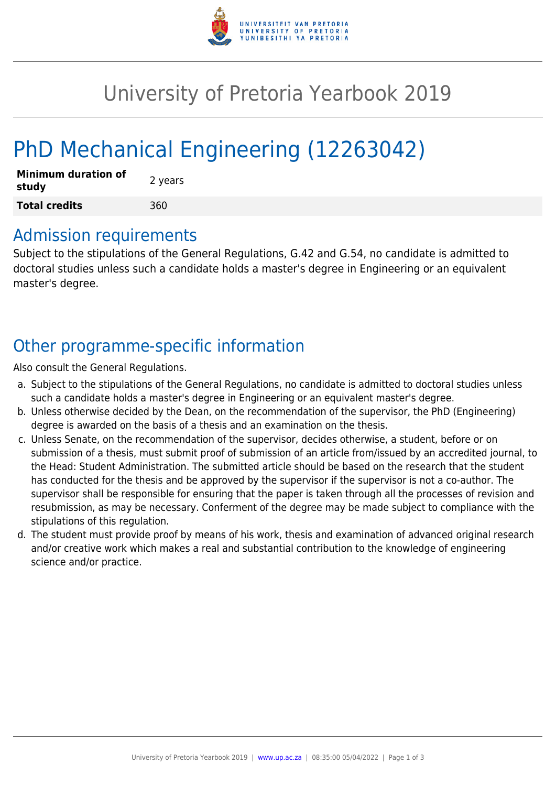

## University of Pretoria Yearbook 2019

# PhD Mechanical Engineering (12263042)

| <b>Minimum duration of</b><br>study | 2 years |
|-------------------------------------|---------|
| <b>Total credits</b>                | 360     |

#### Admission requirements

Subject to the stipulations of the General Regulations, G.42 and G.54, no candidate is admitted to doctoral studies unless such a candidate holds a master's degree in Engineering or an equivalent master's degree.

## Other programme-specific information

Also consult the General Regulations.

- a. Subject to the stipulations of the General Regulations, no candidate is admitted to doctoral studies unless such a candidate holds a master's degree in Engineering or an equivalent master's degree.
- b. Unless otherwise decided by the Dean, on the recommendation of the supervisor, the PhD (Engineering) degree is awarded on the basis of a thesis and an examination on the thesis.
- c. Unless Senate, on the recommendation of the supervisor, decides otherwise, a student, before or on submission of a thesis, must submit proof of submission of an article from/issued by an accredited journal, to the Head: Student Administration. The submitted article should be based on the research that the student has conducted for the thesis and be approved by the supervisor if the supervisor is not a co-author. The supervisor shall be responsible for ensuring that the paper is taken through all the processes of revision and resubmission, as may be necessary. Conferment of the degree may be made subject to compliance with the stipulations of this regulation.
- d. The student must provide proof by means of his work, thesis and examination of advanced original research and/or creative work which makes a real and substantial contribution to the knowledge of engineering science and/or practice.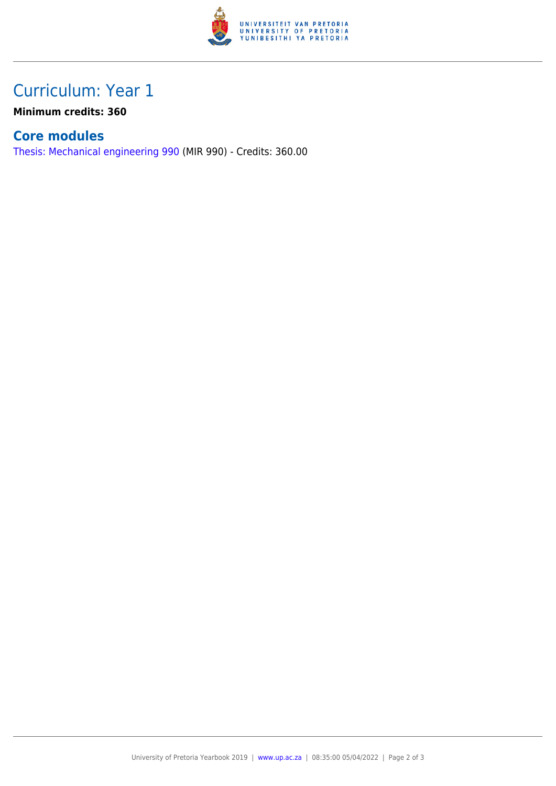

### Curriculum: Year 1

**Minimum credits: 360**

#### **Core modules**

[Thesis: Mechanical engineering 990](https://www.up.ac.za/yearbooks/2019/modules/view/MIR 990) (MIR 990) - Credits: 360.00